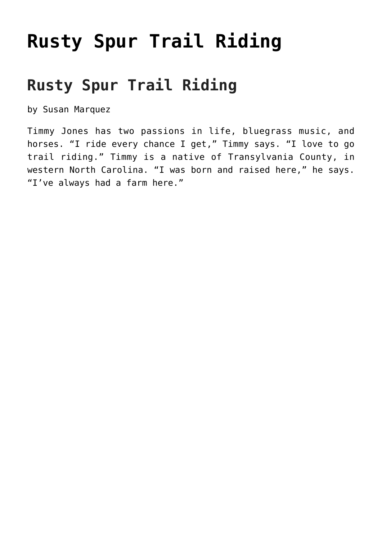## **[Rusty Spur Trail Riding](https://thebluegrassstandard.com/rusty-spur-trail-riding/)**

## **Rusty Spur Trail Riding**

by Susan Marquez

Timmy Jones has two passions in life, bluegrass music, and horses. "I ride every chance I get," Timmy says. "I love to go trail riding." Timmy is a native of Transylvania County, in western North Carolina. "I was born and raised here," he says. "I've always had a farm here."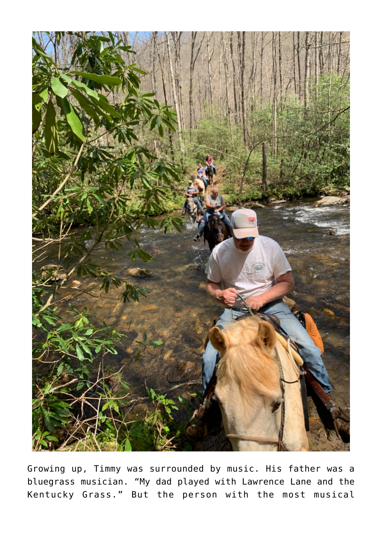

Growing up, Timmy was surrounded by music. His father was a bluegrass musician. "My dad played with Lawrence Lane and the Kentucky Grass." But the person with the most musical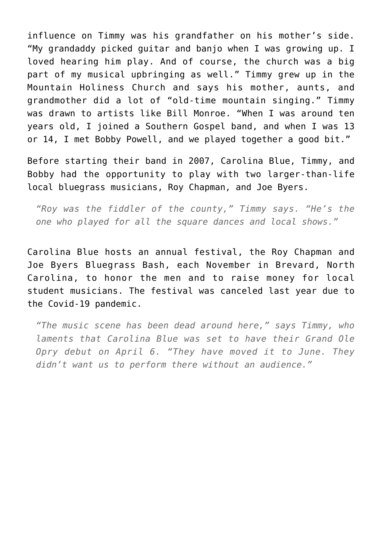influence on Timmy was his grandfather on his mother's side. "My grandaddy picked guitar and banjo when I was growing up. I loved hearing him play. And of course, the church was a big part of my musical upbringing as well." Timmy grew up in the Mountain Holiness Church and says his mother, aunts, and grandmother did a lot of "old-time mountain singing." Timmy was drawn to artists like Bill Monroe. "When I was around ten years old, I joined a Southern Gospel band, and when I was 13 or 14, I met Bobby Powell, and we played together a good bit."

Before starting their band in 2007, Carolina Blue, Timmy, and Bobby had the opportunity to play with two larger-than-life local bluegrass musicians, Roy Chapman, and Joe Byers.

*"Roy was the fiddler of the county," Timmy says. "He's the one who played for all the square dances and local shows."* 

Carolina Blue hosts an annual festival, the Roy Chapman and Joe Byers Bluegrass Bash, each November in Brevard, North Carolina, to honor the men and to raise money for local student musicians. The festival was canceled last year due to the Covid-19 pandemic.

*"The music scene has been dead around here," says Timmy, who laments that Carolina Blue was set to have their Grand Ole Opry debut on April 6. "They have moved it to June. They didn't want us to perform there without an audience."*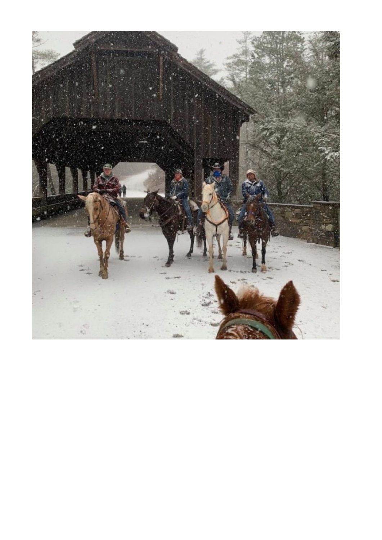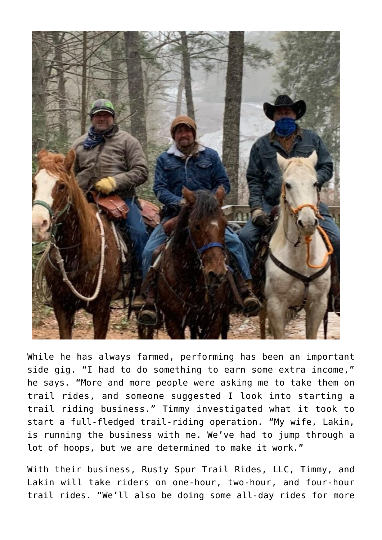

While he has always farmed, performing has been an important side gig. "I had to do something to earn some extra income," he says. "More and more people were asking me to take them on trail rides, and someone suggested I look into starting a trail riding business." Timmy investigated what it took to start a full-fledged trail-riding operation. "My wife, Lakin, is running the business with me. We've had to jump through a lot of hoops, but we are determined to make it work."

With their business, Rusty Spur Trail Rides, LLC, Timmy, and Lakin will take riders on one-hour, two-hour, and four-hour trail rides. "We'll also be doing some all-day rides for more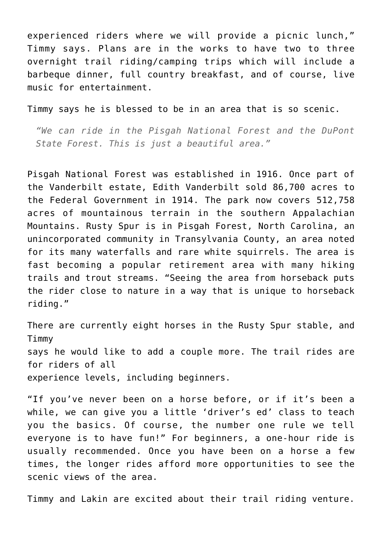experienced riders where we will provide a picnic lunch," Timmy says. Plans are in the works to have two to three overnight trail riding/camping trips which will include a barbeque dinner, full country breakfast, and of course, live music for entertainment.

Timmy says he is blessed to be in an area that is so scenic.

*"We can ride in the Pisgah National Forest and the DuPont State Forest. This is just a beautiful area."*

Pisgah National Forest was established in 1916. Once part of the Vanderbilt estate, Edith Vanderbilt sold 86,700 acres to the Federal Government in 1914. The park now covers 512,758 acres of mountainous terrain in the southern Appalachian Mountains. Rusty Spur is in Pisgah Forest, North Carolina, an unincorporated community in Transylvania County, an area noted for its many waterfalls and rare white squirrels. The area is fast becoming a popular retirement area with many hiking trails and trout streams. "Seeing the area from horseback puts the rider close to nature in a way that is unique to horseback riding."

There are currently eight horses in the Rusty Spur stable, and Timmy says he would like to add a couple more. The trail rides are for riders of all experience levels, including beginners.

"If you've never been on a horse before, or if it's been a while, we can give you a little 'driver's ed' class to teach you the basics. Of course, the number one rule we tell everyone is to have fun!" For beginners, a one-hour ride is usually recommended. Once you have been on a horse a few times, the longer rides afford more opportunities to see the scenic views of the area.

Timmy and Lakin are excited about their trail riding venture.